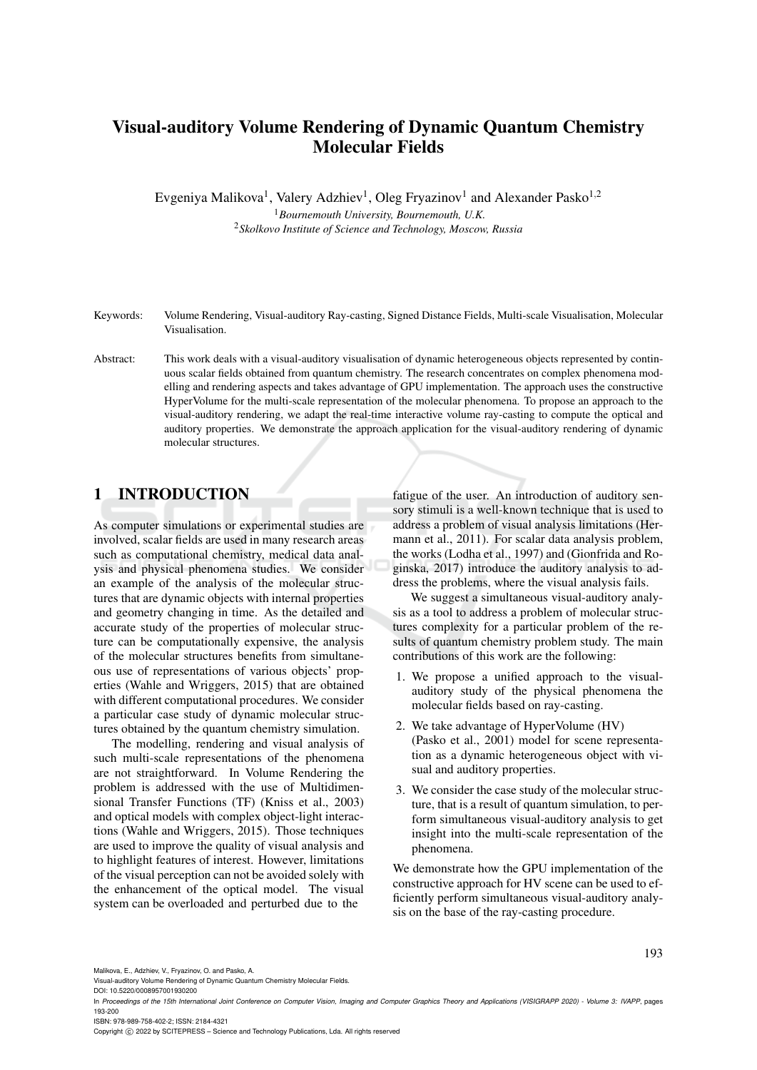# Visual-auditory Volume Rendering of Dynamic Quantum Chemistry Molecular Fields

Evgeniya Malikova<sup>1</sup>, Valery Adzhiev<sup>1</sup>, Oleg Fryazinov<sup>1</sup> and Alexander Pasko<sup>1,2</sup>

<sup>1</sup>*Bournemouth University, Bournemouth, U.K.* <sup>2</sup>*Skolkovo Institute of Science and Technology, Moscow, Russia*

- Keywords: Volume Rendering, Visual-auditory Ray-casting, Signed Distance Fields, Multi-scale Visualisation, Molecular Visualisation.
- Abstract: This work deals with a visual-auditory visualisation of dynamic heterogeneous objects represented by continuous scalar fields obtained from quantum chemistry. The research concentrates on complex phenomena modelling and rendering aspects and takes advantage of GPU implementation. The approach uses the constructive HyperVolume for the multi-scale representation of the molecular phenomena. To propose an approach to the visual-auditory rendering, we adapt the real-time interactive volume ray-casting to compute the optical and auditory properties. We demonstrate the approach application for the visual-auditory rendering of dynamic molecular structures.

## 1 INTRODUCTION

As computer simulations or experimental studies are involved, scalar fields are used in many research areas such as computational chemistry, medical data analysis and physical phenomena studies. We consider an example of the analysis of the molecular structures that are dynamic objects with internal properties and geometry changing in time. As the detailed and accurate study of the properties of molecular structure can be computationally expensive, the analysis of the molecular structures benefits from simultaneous use of representations of various objects' properties (Wahle and Wriggers, 2015) that are obtained with different computational procedures. We consider a particular case study of dynamic molecular structures obtained by the quantum chemistry simulation.

The modelling, rendering and visual analysis of such multi-scale representations of the phenomena are not straightforward. In Volume Rendering the problem is addressed with the use of Multidimensional Transfer Functions (TF) (Kniss et al., 2003) and optical models with complex object-light interactions (Wahle and Wriggers, 2015). Those techniques are used to improve the quality of visual analysis and to highlight features of interest. However, limitations of the visual perception can not be avoided solely with the enhancement of the optical model. The visual system can be overloaded and perturbed due to the

fatigue of the user. An introduction of auditory sensory stimuli is a well-known technique that is used to address a problem of visual analysis limitations (Hermann et al., 2011). For scalar data analysis problem, the works (Lodha et al., 1997) and (Gionfrida and Roginska, 2017) introduce the auditory analysis to address the problems, where the visual analysis fails.

We suggest a simultaneous visual-auditory analysis as a tool to address a problem of molecular structures complexity for a particular problem of the results of quantum chemistry problem study. The main contributions of this work are the following:

- 1. We propose a unified approach to the visualauditory study of the physical phenomena the molecular fields based on ray-casting.
- 2. We take advantage of HyperVolume (HV) (Pasko et al., 2001) model for scene representation as a dynamic heterogeneous object with visual and auditory properties.
- 3. We consider the case study of the molecular structure, that is a result of quantum simulation, to perform simultaneous visual-auditory analysis to get insight into the multi-scale representation of the phenomena.

We demonstrate how the GPU implementation of the constructive approach for HV scene can be used to efficiently perform simultaneous visual-auditory analysis on the base of the ray-casting procedure.

193

Malikova, E., Adzhiev, V., Fryazinov, O. and Pasko, A.

DOI: 10.5220/0008957001930200

Copyright © 2022 by SCITEPRESS - Science and Technology Publications, Lda. All rights reserved

Visual-auditory Volume Rendering of Dynamic Quantum Chemistry Molecular Fields.

In *Proceedings of the 15th International Joint Conference on Computer Vision, Imaging and Computer Graphics Theory and Applications (VISIGRAPP 2020) - Volume 3: IVAPP*, pages 193-200 ISBN: 978-989-758-402-2; ISSN: 2184-4321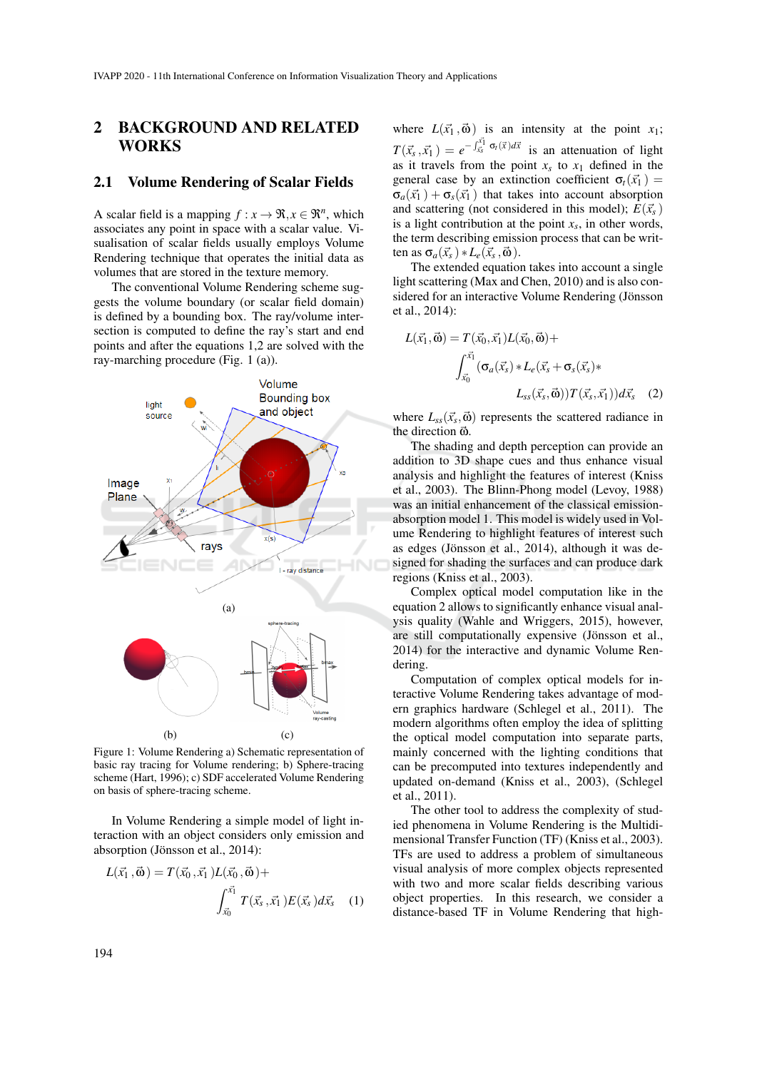### 2 BACKGROUND AND RELATED WORKS

#### 2.1 Volume Rendering of Scalar Fields

A scalar field is a mapping  $f : x \to \Re, x \in \Re^n$ , which associates any point in space with a scalar value. Visualisation of scalar fields usually employs Volume Rendering technique that operates the initial data as volumes that are stored in the texture memory.

The conventional Volume Rendering scheme suggests the volume boundary (or scalar field domain) is defined by a bounding box. The ray/volume intersection is computed to define the ray's start and end points and after the equations 1,2 are solved with the ray-marching procedure (Fig. 1 (a)).



Figure 1: Volume Rendering a) Schematic representation of basic ray tracing for Volume rendering; b) Sphere-tracing scheme (Hart, 1996); c) SDF accelerated Volume Rendering on basis of sphere-tracing scheme.

In Volume Rendering a simple model of light interaction with an object considers only emission and absorption (Jönsson et al., 2014):

$$
L(\vec{x_1}, \vec{\omega}) = T(\vec{x_0}, \vec{x_1}) L(\vec{x_0}, \vec{\omega}) + \int_{\vec{x_0}}^{\vec{x_1}} T(\vec{x_s}, \vec{x_1}) E(\vec{x_s}) d\vec{x_s}
$$
 (1)

where  $L(\vec{x}_1, \vec{\omega})$  is an intensity at the point  $x_1$ ;  $T(\vec{x}_s, \vec{x}_1) = e^{-\int_{\vec{x}_s}^{\vec{x}_1} \sigma_t(\vec{x}) d\vec{x}}$  is an attenuation of light as it travels from the point  $x_s$  to  $x_1$  defined in the general case by an extinction coefficient  $\sigma_t(\vec{x_1})$  =  $\sigma_a(\vec{x_1}) + \sigma_s(\vec{x_1})$  that takes into account absorption and scattering (not considered in this model);  $E(\vec{x_s})$ is a light contribution at the point  $x_s$ , in other words, the term describing emission process that can be written as  $\sigma_a(\vec{x}_s) * L_e(\vec{x}_s, \vec{\omega}).$ 

The extended equation takes into account a single light scattering (Max and Chen, 2010) and is also considered for an interactive Volume Rendering (Jönsson et al., 2014):

$$
L(\vec{x_1}, \vec{\omega}) = T(\vec{x_0}, \vec{x_1})L(\vec{x_0}, \vec{\omega}) +
$$

$$
\int_{\vec{x_0}}^{\vec{x_1}} (\sigma_a(\vec{x_s}) * L_e(\vec{x_s} + \sigma_s(\vec{x_s}) * L_{ss}(\vec{x_s}, \vec{\omega})) T(\vec{x_s}, \vec{x_1})) d\vec{x_s} \quad (2)
$$

where  $L_{ss}(\vec{x}_s, \vec{\omega})$  represents the scattered radiance in the direction  $\vec{\omega}$ .

The shading and depth perception can provide an addition to 3D shape cues and thus enhance visual analysis and highlight the features of interest (Kniss et al., 2003). The Blinn-Phong model (Levoy, 1988) was an initial enhancement of the classical emissionabsorption model 1. This model is widely used in Volume Rendering to highlight features of interest such as edges (Jönsson et al., 2014), although it was designed for shading the surfaces and can produce dark regions (Kniss et al., 2003).

Complex optical model computation like in the equation 2 allows to significantly enhance visual analysis quality (Wahle and Wriggers, 2015), however, are still computationally expensive (Jönsson et al., 2014) for the interactive and dynamic Volume Rendering.

Computation of complex optical models for interactive Volume Rendering takes advantage of modern graphics hardware (Schlegel et al., 2011). The modern algorithms often employ the idea of splitting the optical model computation into separate parts, mainly concerned with the lighting conditions that can be precomputed into textures independently and updated on-demand (Kniss et al., 2003), (Schlegel et al., 2011).

The other tool to address the complexity of studied phenomena in Volume Rendering is the Multidimensional Transfer Function (TF) (Kniss et al., 2003). TFs are used to address a problem of simultaneous visual analysis of more complex objects represented with two and more scalar fields describing various object properties. In this research, we consider a distance-based TF in Volume Rendering that high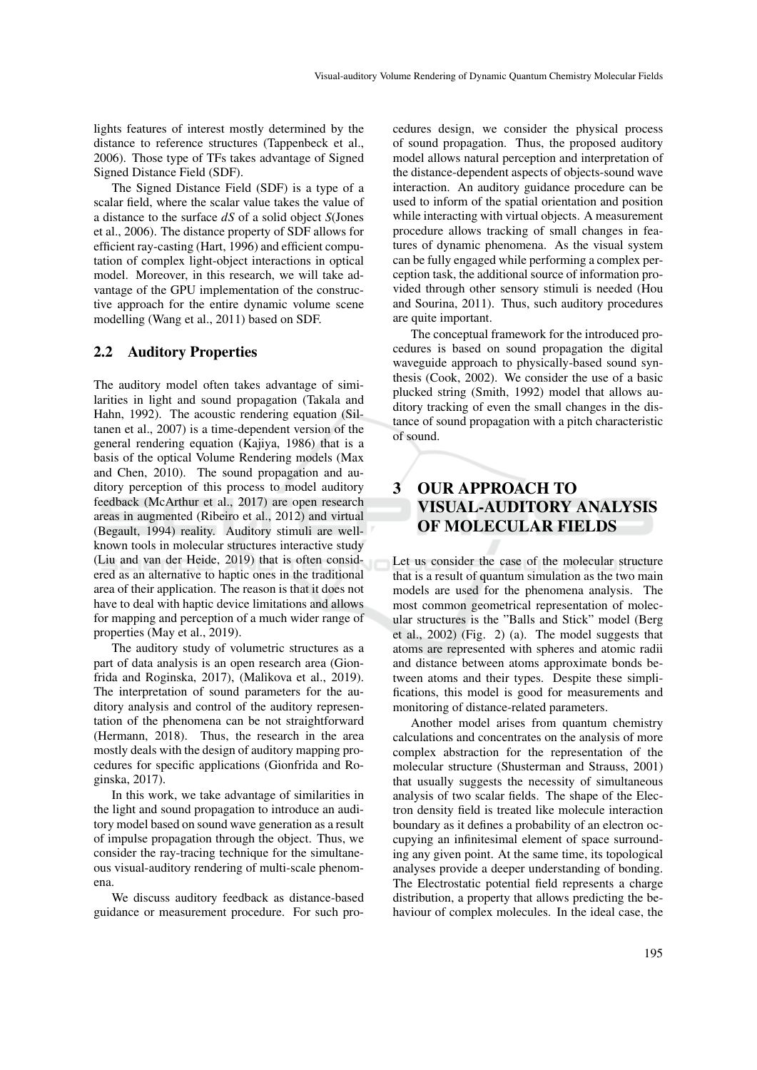lights features of interest mostly determined by the distance to reference structures (Tappenbeck et al., 2006). Those type of TFs takes advantage of Signed Signed Distance Field (SDF).

The Signed Distance Field (SDF) is a type of a scalar field, where the scalar value takes the value of a distance to the surface *dS* of a solid object *S*(Jones et al., 2006). The distance property of SDF allows for efficient ray-casting (Hart, 1996) and efficient computation of complex light-object interactions in optical model. Moreover, in this research, we will take advantage of the GPU implementation of the constructive approach for the entire dynamic volume scene modelling (Wang et al., 2011) based on SDF.

#### 2.2 Auditory Properties

The auditory model often takes advantage of similarities in light and sound propagation (Takala and Hahn, 1992). The acoustic rendering equation (Siltanen et al., 2007) is a time-dependent version of the general rendering equation (Kajiya, 1986) that is a basis of the optical Volume Rendering models (Max and Chen, 2010). The sound propagation and auditory perception of this process to model auditory feedback (McArthur et al., 2017) are open research areas in augmented (Ribeiro et al., 2012) and virtual (Begault, 1994) reality. Auditory stimuli are wellknown tools in molecular structures interactive study (Liu and van der Heide, 2019) that is often considered as an alternative to haptic ones in the traditional area of their application. The reason is that it does not have to deal with haptic device limitations and allows for mapping and perception of a much wider range of properties (May et al., 2019).

The auditory study of volumetric structures as a part of data analysis is an open research area (Gionfrida and Roginska, 2017), (Malikova et al., 2019). The interpretation of sound parameters for the auditory analysis and control of the auditory representation of the phenomena can be not straightforward (Hermann, 2018). Thus, the research in the area mostly deals with the design of auditory mapping procedures for specific applications (Gionfrida and Roginska, 2017).

In this work, we take advantage of similarities in the light and sound propagation to introduce an auditory model based on sound wave generation as a result of impulse propagation through the object. Thus, we consider the ray-tracing technique for the simultaneous visual-auditory rendering of multi-scale phenomena.

We discuss auditory feedback as distance-based guidance or measurement procedure. For such procedures design, we consider the physical process of sound propagation. Thus, the proposed auditory model allows natural perception and interpretation of the distance-dependent aspects of objects-sound wave interaction. An auditory guidance procedure can be used to inform of the spatial orientation and position while interacting with virtual objects. A measurement procedure allows tracking of small changes in features of dynamic phenomena. As the visual system can be fully engaged while performing a complex perception task, the additional source of information provided through other sensory stimuli is needed (Hou and Sourina, 2011). Thus, such auditory procedures are quite important.

The conceptual framework for the introduced procedures is based on sound propagation the digital waveguide approach to physically-based sound synthesis (Cook, 2002). We consider the use of a basic plucked string (Smith, 1992) model that allows auditory tracking of even the small changes in the distance of sound propagation with a pitch characteristic of sound.

## 3 OUR APPROACH TO VISUAL-AUDITORY ANALYSIS OF MOLECULAR FIELDS

Let us consider the case of the molecular structure that is a result of quantum simulation as the two main models are used for the phenomena analysis. The most common geometrical representation of molecular structures is the "Balls and Stick" model (Berg et al., 2002) (Fig. 2) (a). The model suggests that atoms are represented with spheres and atomic radii and distance between atoms approximate bonds between atoms and their types. Despite these simplifications, this model is good for measurements and monitoring of distance-related parameters.

Another model arises from quantum chemistry calculations and concentrates on the analysis of more complex abstraction for the representation of the molecular structure (Shusterman and Strauss, 2001) that usually suggests the necessity of simultaneous analysis of two scalar fields. The shape of the Electron density field is treated like molecule interaction boundary as it defines a probability of an electron occupying an infinitesimal element of space surrounding any given point. At the same time, its topological analyses provide a deeper understanding of bonding. The Electrostatic potential field represents a charge distribution, a property that allows predicting the behaviour of complex molecules. In the ideal case, the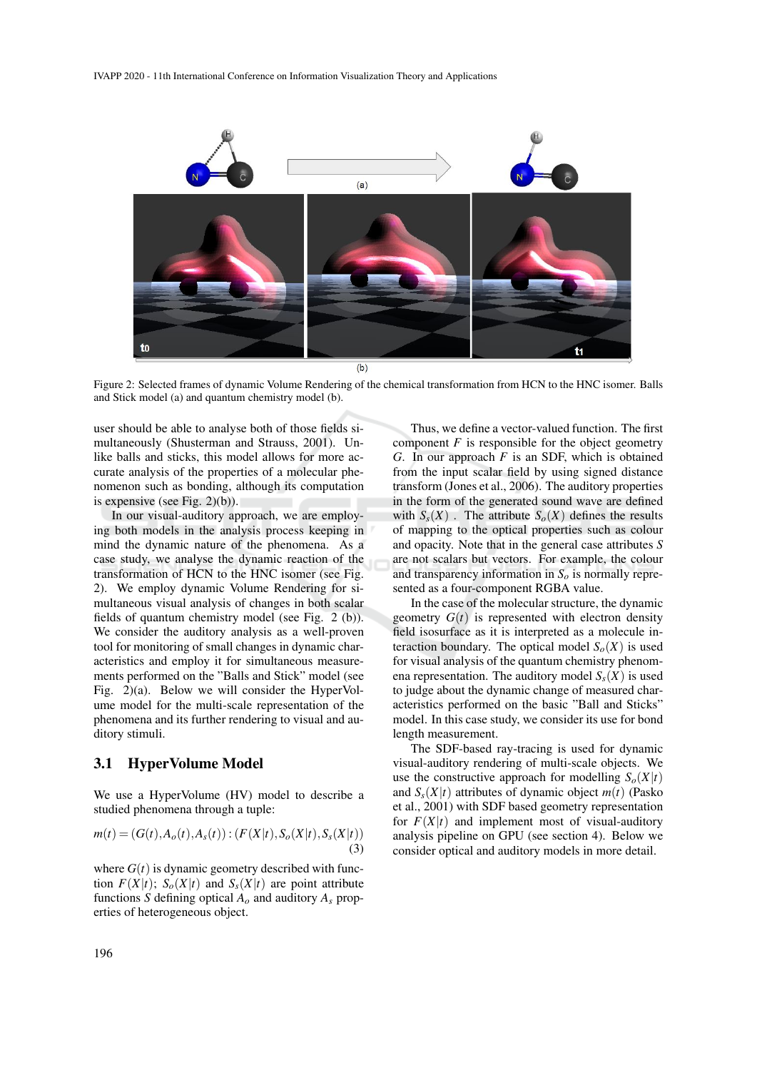

Figure 2: Selected frames of dynamic Volume Rendering of the chemical transformation from HCN to the HNC isomer. Balls and Stick model (a) and quantum chemistry model (b).

user should be able to analyse both of those fields simultaneously (Shusterman and Strauss, 2001). Unlike balls and sticks, this model allows for more accurate analysis of the properties of a molecular phenomenon such as bonding, although its computation is expensive (see Fig. 2)(b)).

In our visual-auditory approach, we are employing both models in the analysis process keeping in mind the dynamic nature of the phenomena. As a case study, we analyse the dynamic reaction of the transformation of HCN to the HNC isomer (see Fig. 2). We employ dynamic Volume Rendering for simultaneous visual analysis of changes in both scalar fields of quantum chemistry model (see Fig. 2 (b)). We consider the auditory analysis as a well-proven tool for monitoring of small changes in dynamic characteristics and employ it for simultaneous measurements performed on the "Balls and Stick" model (see Fig. 2)(a). Below we will consider the HyperVolume model for the multi-scale representation of the phenomena and its further rendering to visual and auditory stimuli.

#### 3.1 HyperVolume Model

We use a HyperVolume (HV) model to describe a studied phenomena through a tuple:

$$
m(t) = (G(t), A_o(t), A_s(t)) : (F(X|t), S_o(X|t), S_s(X|t))
$$
\n(3)

where  $G(t)$  is dynamic geometry described with function  $F(X|t)$ ;  $S_0(X|t)$  and  $S_s(X|t)$  are point attribute functions *S* defining optical  $A<sub>o</sub>$  and auditory  $A<sub>s</sub>$  properties of heterogeneous object.

Thus, we define a vector-valued function. The first component  $F$  is responsible for the object geometry *G*. In our approach *F* is an SDF, which is obtained from the input scalar field by using signed distance transform (Jones et al., 2006). The auditory properties in the form of the generated sound wave are defined with  $S_s(X)$ . The attribute  $S_o(X)$  defines the results of mapping to the optical properties such as colour and opacity. Note that in the general case attributes *S* are not scalars but vectors. For example, the colour and transparency information in  $S<sub>o</sub>$  is normally represented as a four-component RGBA value.

In the case of the molecular structure, the dynamic geometry  $G(t)$  is represented with electron density field isosurface as it is interpreted as a molecule interaction boundary. The optical model  $S<sub>o</sub>(X)$  is used for visual analysis of the quantum chemistry phenomena representation. The auditory model  $S<sub>s</sub>(X)$  is used to judge about the dynamic change of measured characteristics performed on the basic "Ball and Sticks" model. In this case study, we consider its use for bond length measurement.

The SDF-based ray-tracing is used for dynamic visual-auditory rendering of multi-scale objects. We use the constructive approach for modelling  $S<sub>o</sub>(X|t)$ and  $S_s(X|t)$  attributes of dynamic object  $m(t)$  (Pasko) et al., 2001) with SDF based geometry representation for  $F(X|t)$  and implement most of visual-auditory analysis pipeline on GPU (see section 4). Below we consider optical and auditory models in more detail.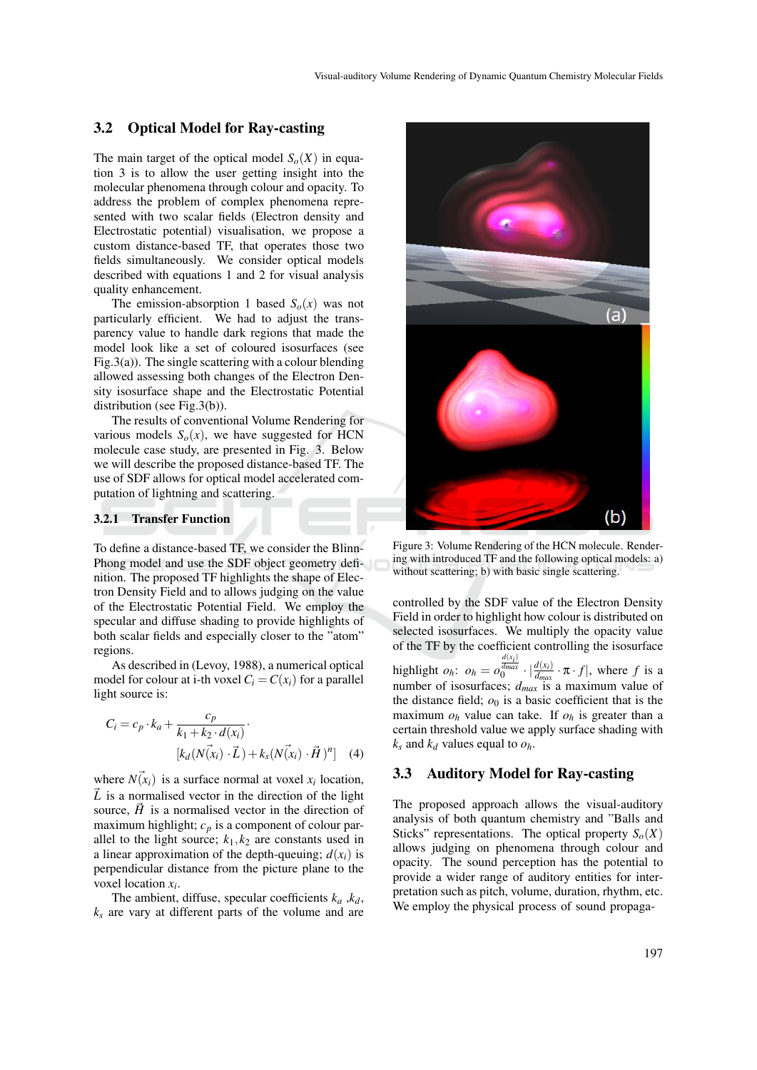#### 3.2 Optical Model for Ray-casting

The main target of the optical model  $S<sub>o</sub>(X)$  in equation 3 is to allow the user getting insight into the molecular phenomena through colour and opacity. To address the problem of complex phenomena represented with two scalar fields (Electron density and Electrostatic potential) visualisation, we propose a custom distance-based TF, that operates those two fields simultaneously. We consider optical models described with equations 1 and 2 for visual analysis quality enhancement.

The emission-absorption 1 based  $S<sub>o</sub>(x)$  was not particularly efficient. We had to adjust the transparency value to handle dark regions that made the model look like a set of coloured isosurfaces (see Fig.3(a)). The single scattering with a colour blending allowed assessing both changes of the Electron Density isosurface shape and the Electrostatic Potential distribution (see Fig.3(b)).

The results of conventional Volume Rendering for various models  $S<sub>o</sub>(x)$ , we have suggested for HCN molecule case study, are presented in Fig. 3. Below we will describe the proposed distance-based TF. The use of SDF allows for optical model accelerated computation of lightning and scattering.

#### 3.2.1 Transfer Function

To define a distance-based TF, we consider the Blinn-Phong model and use the SDF object geometry definition. The proposed TF highlights the shape of Electron Density Field and to allows judging on the value of the Electrostatic Potential Field. We employ the specular and diffuse shading to provide highlights of both scalar fields and especially closer to the "atom" regions.

As described in (Levoy, 1988), a numerical optical model for colour at i-th voxel  $C_i = C(x_i)$  for a parallel light source is:

$$
C_i = c_p \cdot k_a + \frac{c_p}{k_1 + k_2 \cdot d(x_i)} \cdot \frac{\left[k_a\left(N(x_i) \cdot \vec{L}\right) + k_s\left(N(x_i) \cdot \vec{H}\right)^n\right]} \quad (4)
$$

where  $N(\vec{x}_i)$  is a surface normal at voxel  $x_i$  location,  $\vec{L}$  is a normalised vector in the direction of the light source,  $\vec{H}$  is a normalised vector in the direction of maximum highlight;  $c_p$  is a component of colour parallel to the light source;  $k_1, k_2$  are constants used in a linear approximation of the depth-queuing;  $d(x_i)$  is perpendicular distance from the picture plane to the voxel location *x<sup>i</sup>* .

The ambient, diffuse, specular coefficients  $k_a$ ,  $k_d$ ,  $k<sub>s</sub>$  are vary at different parts of the volume and are



Figure 3: Volume Rendering of the HCN molecule. Rendering with introduced TF and the following optical models: a) without scattering; b) with basic single scattering.

controlled by the SDF value of the Electron Density Field in order to highlight how colour is distributed on selected isosurfaces. We multiply the opacity value of the TF by the coefficient controlling the isosurface highlight  $o_h$ :  $o_h = o$  $\int_0^{\frac{d(x_i)}{d_{max}}} \cdot |\frac{d(x_i)}{d_{max}} \cdot \pi \cdot f|$ , where *f* is a number of isosurfaces; *dmax* is a maximum value of the distance field;  $o_0$  is a basic coefficient that is the maximum  $o_h$  value can take. If  $o_h$  is greater than a certain threshold value we apply surface shading with  $k_s$  and  $k_d$  values equal to  $o_h$ .

#### 3.3 Auditory Model for Ray-casting

The proposed approach allows the visual-auditory analysis of both quantum chemistry and "Balls and Sticks" representations. The optical property  $S<sub>o</sub>(X)$ allows judging on phenomena through colour and opacity. The sound perception has the potential to provide a wider range of auditory entities for interpretation such as pitch, volume, duration, rhythm, etc. We employ the physical process of sound propaga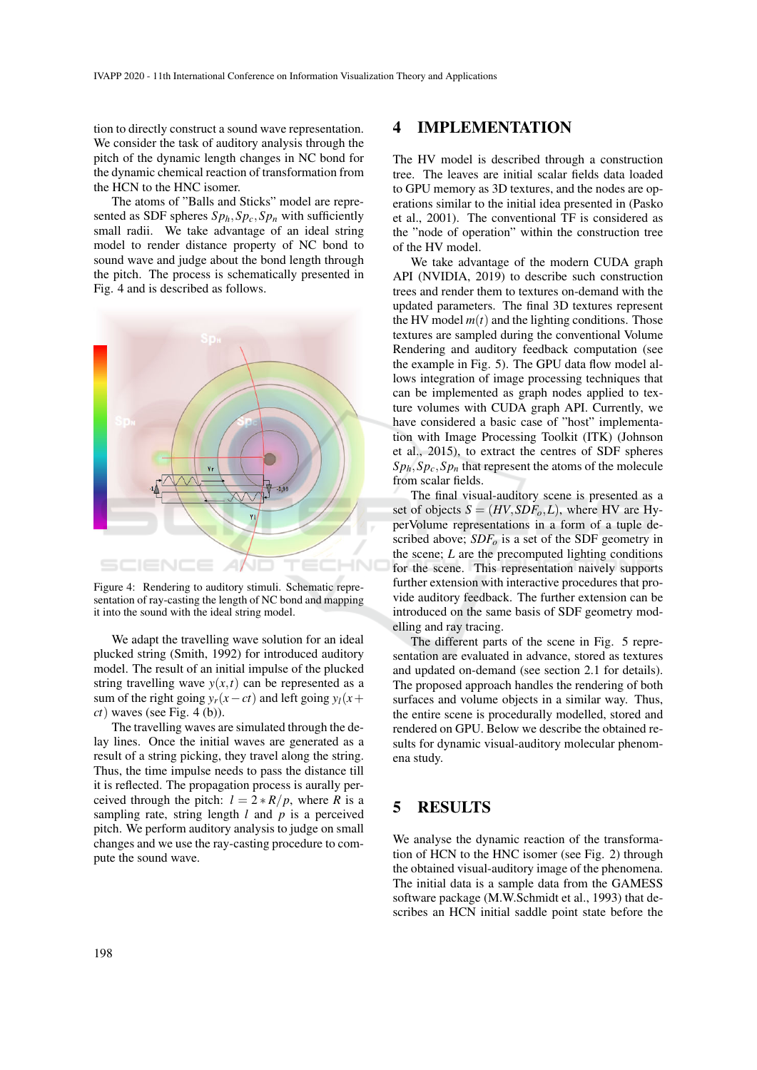tion to directly construct a sound wave representation. We consider the task of auditory analysis through the pitch of the dynamic length changes in NC bond for the dynamic chemical reaction of transformation from the HCN to the HNC isomer.

The atoms of "Balls and Sticks" model are represented as SDF spheres  $Sp_h, Sp_c, Sp_n$  with sufficiently small radii. We take advantage of an ideal string model to render distance property of NC bond to sound wave and judge about the bond length through the pitch. The process is schematically presented in Fig. 4 and is described as follows.



Figure 4: Rendering to auditory stimuli. Schematic representation of ray-casting the length of NC bond and mapping it into the sound with the ideal string model.

We adapt the travelling wave solution for an ideal plucked string (Smith, 1992) for introduced auditory model. The result of an initial impulse of the plucked string travelling wave  $y(x,t)$  can be represented as a sum of the right going  $y_r(x-ct)$  and left going  $y_l(x+)$ *ct*) waves (see Fig. 4 (b)).

The travelling waves are simulated through the delay lines. Once the initial waves are generated as a result of a string picking, they travel along the string. Thus, the time impulse needs to pass the distance till it is reflected. The propagation process is aurally perceived through the pitch:  $l = 2 * R/p$ , where *R* is a sampling rate, string length  $l$  and  $p$  is a perceived pitch. We perform auditory analysis to judge on small changes and we use the ray-casting procedure to compute the sound wave.

#### 4 IMPLEMENTATION

The HV model is described through a construction tree. The leaves are initial scalar fields data loaded to GPU memory as 3D textures, and the nodes are operations similar to the initial idea presented in (Pasko et al., 2001). The conventional TF is considered as the "node of operation" within the construction tree of the HV model.

We take advantage of the modern CUDA graph API (NVIDIA, 2019) to describe such construction trees and render them to textures on-demand with the updated parameters. The final 3D textures represent the HV model  $m(t)$  and the lighting conditions. Those textures are sampled during the conventional Volume Rendering and auditory feedback computation (see the example in Fig. 5). The GPU data flow model allows integration of image processing techniques that can be implemented as graph nodes applied to texture volumes with CUDA graph API. Currently, we have considered a basic case of "host" implementation with Image Processing Toolkit (ITK) (Johnson et al., 2015), to extract the centres of SDF spheres  $Sp_h, Sp_c, Sp_n$  that represent the atoms of the molecule from scalar fields.

The final visual-auditory scene is presented as a set of objects  $S = (HV, SDF<sub>o</sub>, L)$ , where HV are HyperVolume representations in a form of a tuple described above; *SDF<sup>o</sup>* is a set of the SDF geometry in the scene; *L* are the precomputed lighting conditions for the scene. This representation naively supports further extension with interactive procedures that provide auditory feedback. The further extension can be introduced on the same basis of SDF geometry modelling and ray tracing.

The different parts of the scene in Fig. 5 representation are evaluated in advance, stored as textures and updated on-demand (see section 2.1 for details). The proposed approach handles the rendering of both surfaces and volume objects in a similar way. Thus, the entire scene is procedurally modelled, stored and rendered on GPU. Below we describe the obtained results for dynamic visual-auditory molecular phenomena study.

### 5 RESULTS

We analyse the dynamic reaction of the transformation of HCN to the HNC isomer (see Fig. 2) through the obtained visual-auditory image of the phenomena. The initial data is a sample data from the GAMESS software package (M.W.Schmidt et al., 1993) that describes an HCN initial saddle point state before the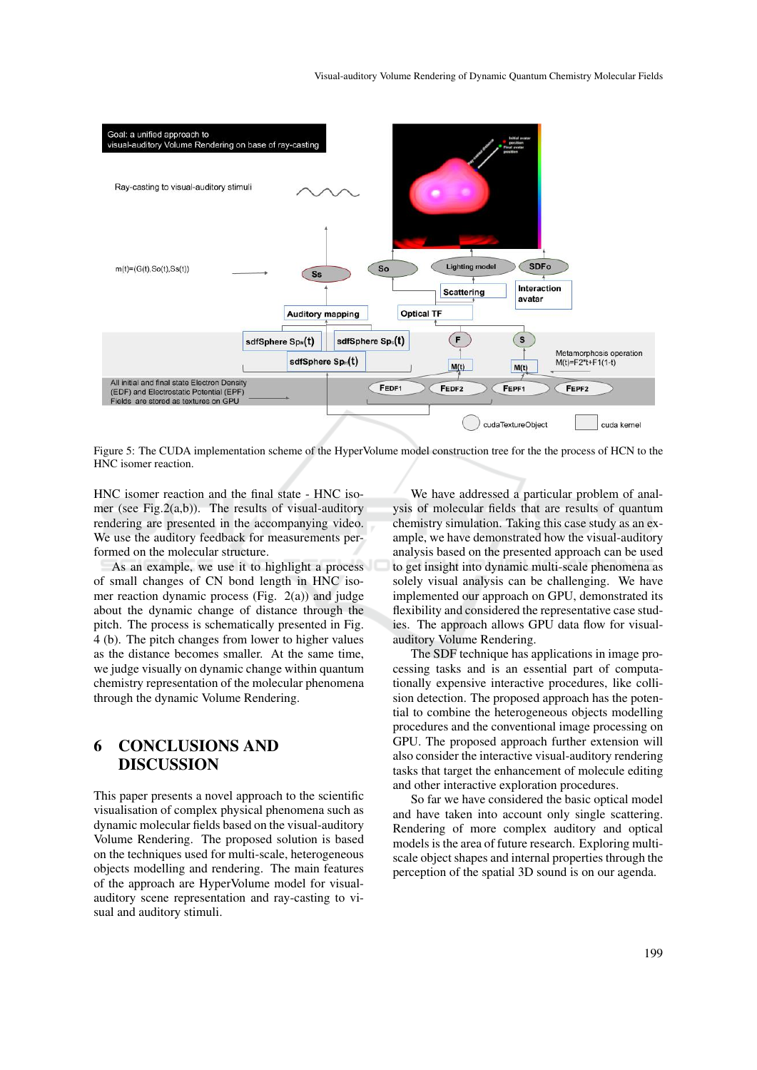

Figure 5: The CUDA implementation scheme of the HyperVolume model construction tree for the the process of HCN to the HNC isomer reaction.

HNC isomer reaction and the final state - HNC isomer (see Fig.2(a,b)). The results of visual-auditory rendering are presented in the accompanying video. We use the auditory feedback for measurements performed on the molecular structure.

As an example, we use it to highlight a process of small changes of CN bond length in HNC isomer reaction dynamic process (Fig. 2(a)) and judge about the dynamic change of distance through the pitch. The process is schematically presented in Fig. 4 (b). The pitch changes from lower to higher values as the distance becomes smaller. At the same time, we judge visually on dynamic change within quantum chemistry representation of the molecular phenomena through the dynamic Volume Rendering.

## 6 CONCLUSIONS AND DISCUSSION

This paper presents a novel approach to the scientific visualisation of complex physical phenomena such as dynamic molecular fields based on the visual-auditory Volume Rendering. The proposed solution is based on the techniques used for multi-scale, heterogeneous objects modelling and rendering. The main features of the approach are HyperVolume model for visualauditory scene representation and ray-casting to visual and auditory stimuli.

We have addressed a particular problem of analysis of molecular fields that are results of quantum chemistry simulation. Taking this case study as an example, we have demonstrated how the visual-auditory analysis based on the presented approach can be used to get insight into dynamic multi-scale phenomena as solely visual analysis can be challenging. We have implemented our approach on GPU, demonstrated its flexibility and considered the representative case studies. The approach allows GPU data flow for visualauditory Volume Rendering.

The SDF technique has applications in image processing tasks and is an essential part of computationally expensive interactive procedures, like collision detection. The proposed approach has the potential to combine the heterogeneous objects modelling procedures and the conventional image processing on GPU. The proposed approach further extension will also consider the interactive visual-auditory rendering tasks that target the enhancement of molecule editing and other interactive exploration procedures.

So far we have considered the basic optical model and have taken into account only single scattering. Rendering of more complex auditory and optical models is the area of future research. Exploring multiscale object shapes and internal properties through the perception of the spatial 3D sound is on our agenda.